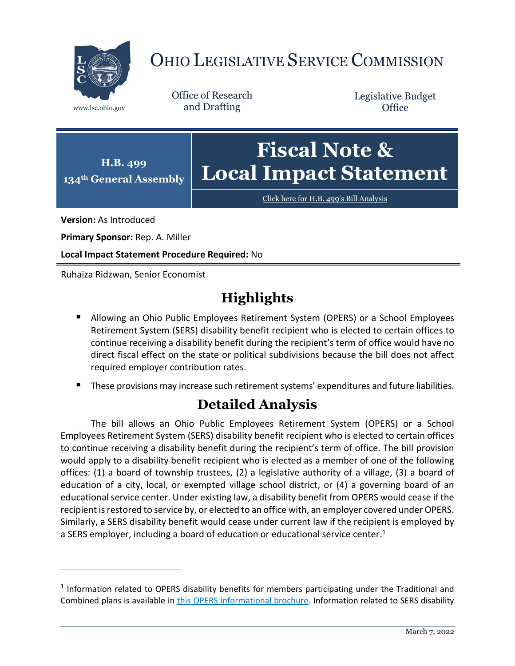

# OHIO LEGISLATIVE SERVICE COMMISSION

Office of Research www.lsc.ohio.gov and Drafting

Legislative Budget **Office** 



[Click here for H.B. 499](https://www.legislature.ohio.gov/legislation/legislation-documents?id=GA134-HB-499)'s Bill Analysis

**Version:** As Introduced

 $\overline{a}$ 

**Primary Sponsor:** Rep. A. Miller

**Local Impact Statement Procedure Required:** No

Ruhaiza Ridzwan, Senior Economist

## **Highlights**

- **Allowing an Ohio Public Employees Retirement System (OPERS) or a School Employees** Retirement System (SERS) disability benefit recipient who is elected to certain offices to continue receiving a disability benefit during the recipient's term of office would have no direct fiscal effect on the state or political subdivisions because the bill does not affect required employer contribution rates.
- These provisions may increase such retirement systems' expenditures and future liabilities.

## **Detailed Analysis**

The bill allows an Ohio Public Employees Retirement System (OPERS) or a School Employees Retirement System (SERS) disability benefit recipient who is elected to certain offices to continue receiving a disability benefit during the recipient's term of office. The bill provision would apply to a disability benefit recipient who is elected as a member of one of the following offices: (1) a board of township trustees, (2) a legislative authority of a village, (3) a board of education of a city, local, or exempted village school district, or (4) a governing board of an educational service center. Under existing law, a disability benefit from OPERS would cease if the recipient is restored to service by, or elected to an office with, an employer covered under OPERS. Similarly, a SERS disability benefit would cease under current law if the recipient is employed by a SERS employer, including a board of education or educational service center.<sup>1</sup>

 $<sup>1</sup>$  Information related to OPERS disability benefits for members participating under the Traditional and</sup> Combined plans is available in [this OPERS informational brochure.](https://www.opers.org/pubs-archive/leaflets/ISL-K-Disability-Benefits.pdf) Information related to SERS disability